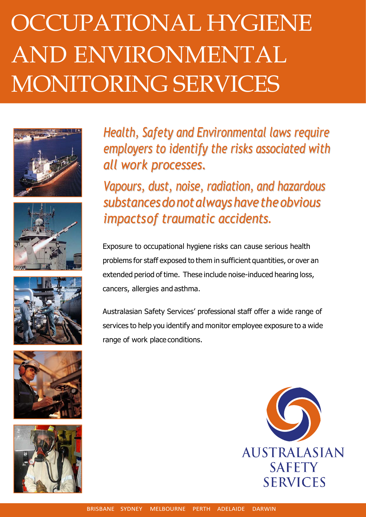## OCCUPATIONAL HYGIENE AND ENVIRONMENTAL MONITORING SERVICES











Health, Safety and Environmental laws require employers to identify the risks associated with all work processes.

Vapours, dust, noise, radiation, and hazardous substances do not always have the obvious impactsof traumatic accidents.

Exposure to occupational hygiene risks can cause serious health problems for staff exposed to them in sufficient quantities, or over an extended period of time. These include noise-induced hearing loss, cancers, allergies and asthma.

Australasian Safety Services' professional staff offer a wide range of services to help you identify and monitor employee exposure to a wide range of work place conditions.